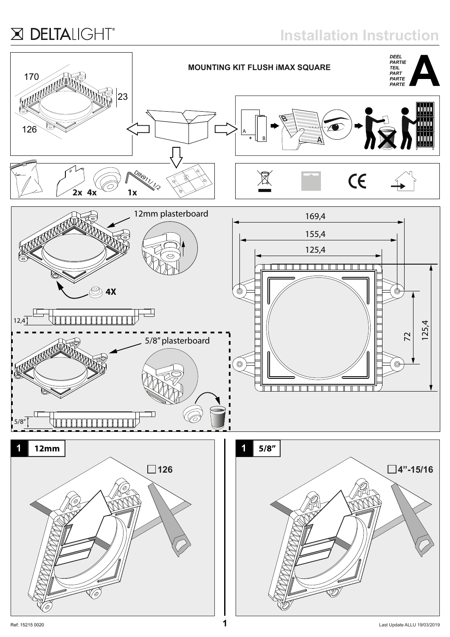### X DELTALIGHT®

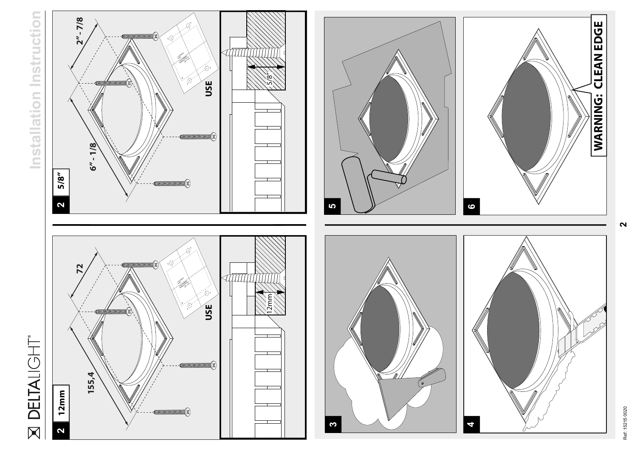# **DELTALIGHT**  $\boxtimes$

## **Installation Instruction** Instruction Installation













**2**